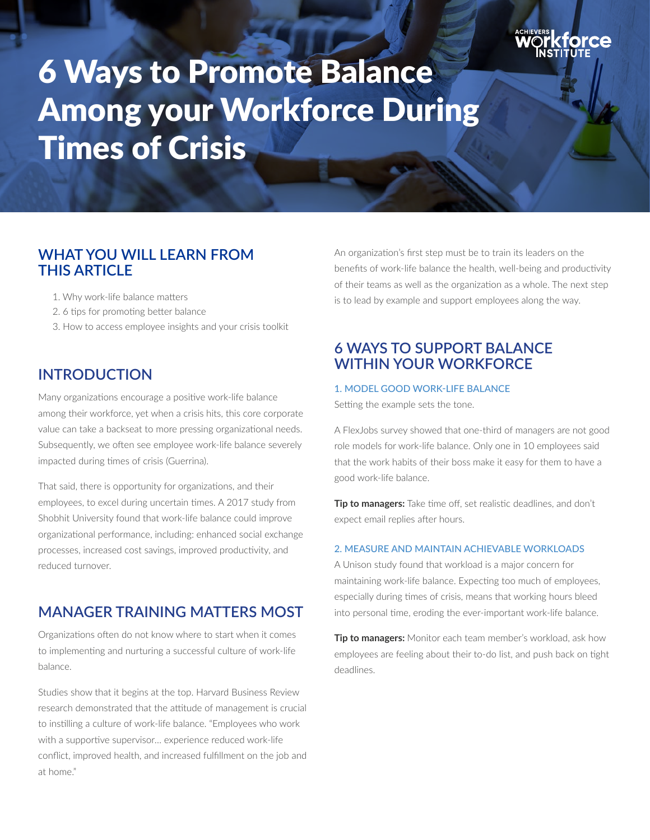

# 6 Ways to Promote Balance Among your Workforce During Times of Crisis

## **WHAT YOU WILL LEARN FROM THIS ARTICLE**

- 1. Why work-life balance matters
- 2. 6 tips for promoting better balance
- 3. How to access employee insights and your crisis toolkit

## **INTRODUCTION**

Many organizations encourage a positive work-life balance among their workforce, yet when a crisis hits, this core corporate value can take a backseat to more pressing organizational needs. Subsequently, we often see employee work-life balance severely impacted during times of crisis (Guerrina).

That said, there is opportunity for organizations, and their employees, to excel during uncertain times. A 2017 study from Shobhit University found that work-life balance could improve organizational performance, including: enhanced social exchange processes, increased cost savings, improved productivity, and reduced turnover.

## **MANAGER TRAINING MATTERS MOST**

Organizations often do not know where to start when it comes to implementing and nurturing a successful culture of work-life balance.

Studies show that it begins at the top. Harvard Business Review research demonstrated that the attitude of management is crucial to instilling a culture of work-life balance. "Employees who work with a supportive supervisor… experience reduced work-life conflict, improved health, and increased fulfillment on the job and at home."

An organization's first step must be to train its leaders on the benefits of work-life balance the health, well-being and productivity of their teams as well as the organization as a whole. The next step is to lead by example and support employees along the way.

## **6 WAYS TO SUPPORT BALANCE WITHIN YOUR WORKFORCE**

#### 1. MODEL GOOD WORK-LIFE BALANCE

Setting the example sets the tone.

A FlexJobs survey showed that one-third of managers are not good role models for work-life balance. Only one in 10 employees said that the work habits of their boss make it easy for them to have a good work-life balance.

**Tip to managers:** Take time off, set realistic deadlines, and don't expect email replies after hours.

#### 2. MEASURE AND MAINTAIN ACHIEVABLE WORKLOADS

A Unison study found that workload is a major concern for maintaining work-life balance. Expecting too much of employees, especially during times of crisis, means that working hours bleed into personal time, eroding the ever-important work-life balance.

**Tip to managers:** Monitor each team member's workload, ask how employees are feeling about their to-do list, and push back on tight deadlines.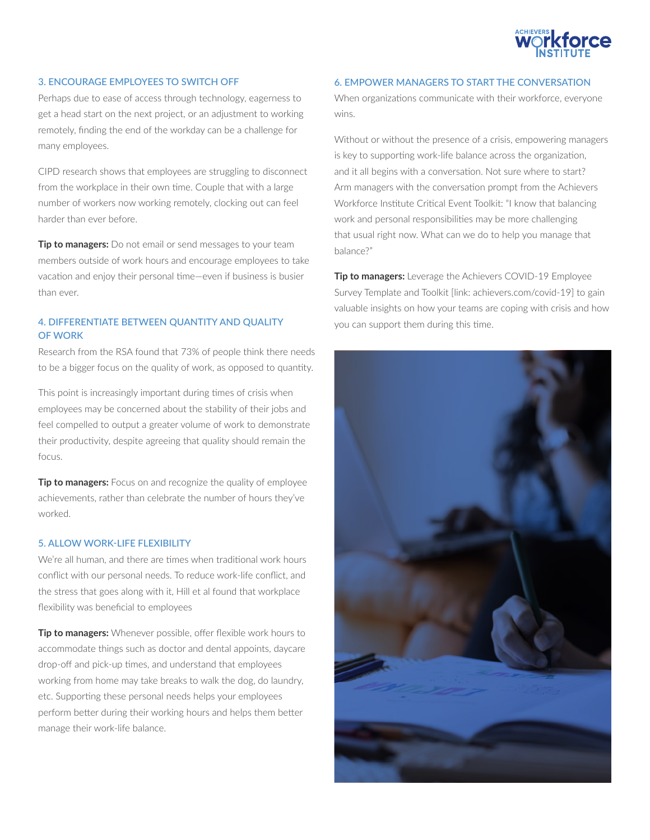

#### 3. ENCOURAGE EMPLOYEES TO SWITCH OFF

Perhaps due to ease of access through technology, eagerness to get a head start on the next project, or an adjustment to working remotely, finding the end of the workday can be a challenge for many employees.

CIPD research shows that employees are struggling to disconnect from the workplace in their own time. Couple that with a large number of workers now working remotely, clocking out can feel harder than ever before.

**Tip to managers:** Do not email or send messages to your team members outside of work hours and encourage employees to take vacation and enjoy their personal time—even if business is busier than ever.

#### 4. DIFFERENTIATE BETWEEN QUANTITY AND QUALITY OF WORK

Research from the RSA found that 73% of people think there needs to be a bigger focus on the quality of work, as opposed to quantity.

This point is increasingly important during times of crisis when employees may be concerned about the stability of their jobs and feel compelled to output a greater volume of work to demonstrate their productivity, despite agreeing that quality should remain the focus.

**Tip to managers:** Focus on and recognize the quality of employee achievements, rather than celebrate the number of hours they've worked.

#### 5. ALLOW WORK-LIFE FLEXIBILITY

We're all human, and there are times when traditional work hours conflict with our personal needs. To reduce work-life conflict, and the stress that goes along with it, Hill et al found that workplace flexibility was beneficial to employees

**Tip to managers:** Whenever possible, offer flexible work hours to accommodate things such as doctor and dental appoints, daycare drop-off and pick-up times, and understand that employees working from home may take breaks to walk the dog, do laundry, etc. Supporting these personal needs helps your employees perform better during their working hours and helps them better manage their work-life balance.

#### 6. EMPOWER MANAGERS TO START THE CONVERSATION

When organizations communicate with their workforce, everyone wins.

Without or without the presence of a crisis, empowering managers is key to supporting work-life balance across the organization, and it all begins with a conversation. Not sure where to start? Arm managers with the conversation prompt from the Achievers Workforce Institute Critical Event Toolkit: "I know that balancing work and personal responsibilities may be more challenging that usual right now. What can we do to help you manage that balance?"

**Tip to managers:** Leverage the Achievers COVID-19 Employee Survey Template and Toolkit [link: achievers.com/covid-19] to gain valuable insights on how your teams are coping with crisis and how you can support them during this time.